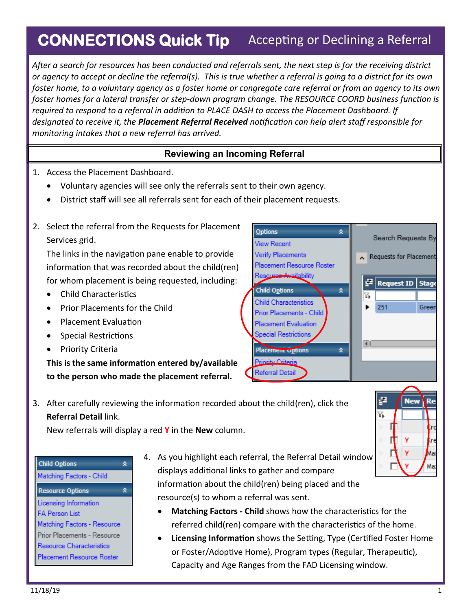## **CONNECTIONS Quick Tip** Accepting or Declining a Referral

*After a search for resources has been conducted and referrals sent, the next step is for the receiving district or agency to accept or decline the referral(s). This is true whether a referral is going to a district for its own foster home, to a voluntary agency as a foster home or congregate care referral or from an agency to its own foster homes for a lateral transfer or step-down program change. The RESOURCE COORD business function is required to respond to a referral in addition to PLACE DASH to access the Placement Dashboard. If designated to receive it, the Placement Referral Received notification can help alert staff responsible for monitoring intakes that a new referral has arrived.* 

## **Reviewing an Incoming Referral**

- 1. Access the Placement Dashboard.
	- Voluntary agencies will see only the referrals sent to their own agency.
	- District staff will see all referrals sent for each of their placement requests.
- 2. Select the referral from the Requests for Placement Services grid.

The links in the navigation pane enable to provide information that was recorded about the child(ren) for whom placement is being requested, including:

- Child Characteristics
- Prior Placements for the Child
- Placement Evaluation
- Special Restrictions
- Priority Criteria

**This is the same information entered by/available to the person who made the placement referral.**



÷

**New** 

Re

Ma Max

3. After carefully reviewing the information recorded about the child(ren), click the **Referral Detail** link.

New referrals will display a red **Y** in the **New** column.

| <b>Child Options</b>        |   |  |
|-----------------------------|---|--|
| Matching Factors - Child    |   |  |
| <b>Resource Options</b>     | х |  |
| Licensing Information       |   |  |
| <b>FA Person List</b>       |   |  |
| Matching Factors - Resource |   |  |
| Prior Placements - Resource |   |  |
| Resource Characteristics    |   |  |
| Placement Resource Roster   |   |  |

- 4. As you highlight each referral, the Referral Detail window displays additional links to gather and compare information about the child(ren) being placed and the resource(s) to whom a referral was sent.
	- **Matching Factors - Child** shows how the characteristics for the referred child(ren) compare with the characteristics of the home.
	- **Licensing Information** shows the Setting, Type (Certified Foster Home or Foster/Adoptive Home), Program types (Regular, Therapeutic), Capacity and Age Ranges from the FAD Licensing window.